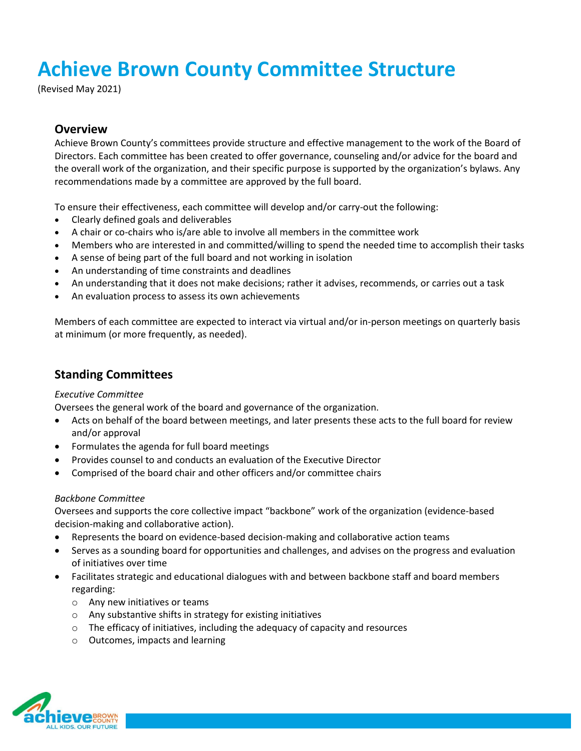# **Achieve Brown County Committee Structure**

(Revised May 2021)

# **Overview**

Achieve Brown County's committees provide structure and effective management to the work of the Board of Directors. Each committee has been created to offer governance, counseling and/or advice for the board and the overall work of the organization, and their specific purpose is supported by the organization's bylaws. Any recommendations made by a committee are approved by the full board.

To ensure their effectiveness, each committee will develop and/or carry-out the following:

- Clearly defined goals and deliverables
- A chair or co-chairs who is/are able to involve all members in the committee work
- Members who are interested in and committed/willing to spend the needed time to accomplish their tasks
- A sense of being part of the full board and not working in isolation
- An understanding of time constraints and deadlines
- An understanding that it does not make decisions; rather it advises, recommends, or carries out a task
- An evaluation process to assess its own achievements

Members of each committee are expected to interact via virtual and/or in-person meetings on quarterly basis at minimum (or more frequently, as needed).

### **Standing Committees**

#### *Executive Committee*

Oversees the general work of the board and governance of the organization.

- Acts on behalf of the board between meetings, and later presents these acts to the full board for review and/or approval
- Formulates the agenda for full board meetings
- Provides counsel to and conducts an evaluation of the Executive Director
- Comprised of the board chair and other officers and/or committee chairs

#### *Backbone Committee*

Oversees and supports the core collective impact "backbone" work of the organization (evidence-based decision-making and collaborative action).

- Represents the board on evidence-based decision-making and collaborative action teams
- Serves as a sounding board for opportunities and challenges, and advises on the progress and evaluation of initiatives over time
- Facilitates strategic and educational dialogues with and between backbone staff and board members regarding:
	- o Any new initiatives or teams
	- o Any substantive shifts in strategy for existing initiatives
	- $\circ$  The efficacy of initiatives, including the adequacy of capacity and resources
	- o Outcomes, impacts and learning

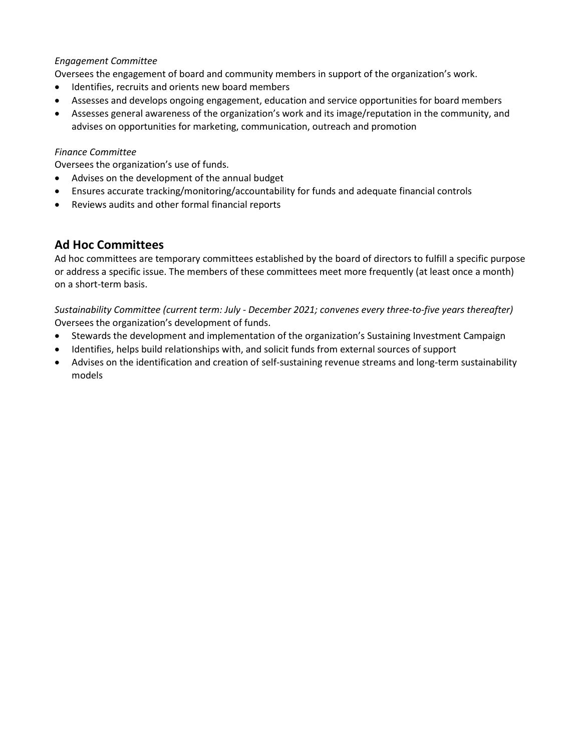#### *Engagement Committee*

Oversees the engagement of board and community members in support of the organization's work.

- Identifies, recruits and orients new board members
- Assesses and develops ongoing engagement, education and service opportunities for board members
- Assesses general awareness of the organization's work and its image/reputation in the community, and advises on opportunities for marketing, communication, outreach and promotion

#### *Finance Committee*

Oversees the organization's use of funds.

- Advises on the development of the annual budget
- Ensures accurate tracking/monitoring/accountability for funds and adequate financial controls
- Reviews audits and other formal financial reports

## **Ad Hoc Committees**

Ad hoc committees are temporary committees established by the board of directors to fulfill a specific purpose or address a specific issue. The members of these committees meet more frequently (at least once a month) on a short-term basis.

*Sustainability Committee (current term: July - December 2021; convenes every three-to-five years thereafter)* Oversees the organization's development of funds.

- Stewards the development and implementation of the organization's Sustaining Investment Campaign
- Identifies, helps build relationships with, and solicit funds from external sources of support
- Advises on the identification and creation of self-sustaining revenue streams and long-term sustainability models